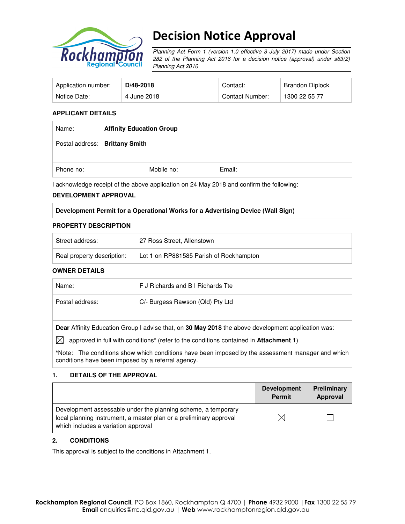

# Decision Notice Approval

Planning Act Form 1 (version 1.0 effective 3 July 2017) made under Section 282 of the Planning Act 2016 for a decision notice (approval) under s63(2) Planning Act 2016

| Application number: | D/48-2018   | Contact:        | Brandon Diplock |
|---------------------|-------------|-----------------|-----------------|
| Notice Date:        | 4 June 2018 | Contact Number: | 1300 22 55 77   |

### **APPLICANT DETAILS**

| Name:     | <b>Affinity Education Group</b> |        |  |
|-----------|---------------------------------|--------|--|
|           | Postal address: Brittany Smith  |        |  |
| Phone no: | Mobile no:                      | Email: |  |

I acknowledge receipt of the above application on 24 May 2018 and confirm the following:

#### **DEVELOPMENT APPROVAL**

#### **Development Permit for a Operational Works for a Advertising Device (Wall Sign)**

#### **PROPERTY DESCRIPTION**

| Street address:            | 27 Ross Street, Allenstown              |
|----------------------------|-----------------------------------------|
| Real property description: | Lot 1 on RP881585 Parish of Rockhampton |

#### **OWNER DETAILS**

| F J Richards and B I Richards Tte                                                                                                                                                                          |  |  |  |  |
|------------------------------------------------------------------------------------------------------------------------------------------------------------------------------------------------------------|--|--|--|--|
| C/- Burgess Rawson (Qld) Pty Ltd                                                                                                                                                                           |  |  |  |  |
| Dear Affinity Education Group I advise that, on 30 May 2018 the above development application was:<br>$\boxtimes$<br>approved in full with conditions* (refer to the conditions contained in Attachment 1) |  |  |  |  |
|                                                                                                                                                                                                            |  |  |  |  |

**\***Note:The conditions show which conditions have been imposed by the assessment manager and which conditions have been imposed by a referral agency.

#### **1. DETAILS OF THE APPROVAL**

|                                                                                                                                                                            | <b>Development</b><br><b>Permit</b> | Preliminary<br>Approval |
|----------------------------------------------------------------------------------------------------------------------------------------------------------------------------|-------------------------------------|-------------------------|
| Development assessable under the planning scheme, a temporary<br>local planning instrument, a master plan or a preliminary approval<br>which includes a variation approval |                                     |                         |

#### **2. CONDITIONS**

This approval is subject to the conditions in Attachment 1.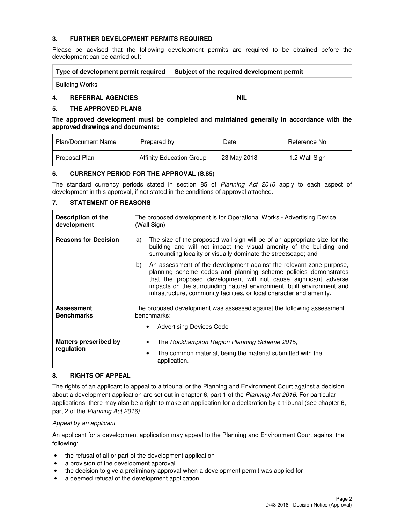## **3. FURTHER DEVELOPMENT PERMITS REQUIRED**

Please be advised that the following development permits are required to be obtained before the development can be carried out:

| Type of development permit required | Subject of the required development permit |
|-------------------------------------|--------------------------------------------|
| Building Works                      |                                            |

## **4. REFERRAL AGENCIES NIL**

### **5. THE APPROVED PLANS**

**The approved development must be completed and maintained generally in accordance with the approved drawings and documents:** 

| <b>Plan/Document Name</b> | Prepared by                     | <b>Date</b> | Reference No. |
|---------------------------|---------------------------------|-------------|---------------|
| Proposal Plan             | <b>Affinity Education Group</b> | 23 May 2018 | 1.2 Wall Sign |

#### **6. CURRENCY PERIOD FOR THE APPROVAL (S.85)**

The standard currency periods stated in section 85 of Planning Act 2016 apply to each aspect of development in this approval, if not stated in the conditions of approval attached.

## **7. STATEMENT OF REASONS**

| Description of the<br>development          | The proposed development is for Operational Works - Advertising Device<br>(Wall Sign)                                                                                                                                                                                                                                                                              |  |  |
|--------------------------------------------|--------------------------------------------------------------------------------------------------------------------------------------------------------------------------------------------------------------------------------------------------------------------------------------------------------------------------------------------------------------------|--|--|
| <b>Reasons for Decision</b>                | The size of the proposed wall sign will be of an appropriate size for the<br>a)<br>building and will not impact the visual amenity of the building and<br>surrounding locality or visually dominate the streetscape; and                                                                                                                                           |  |  |
|                                            | b)<br>An assessment of the development against the relevant zone purpose,<br>planning scheme codes and planning scheme policies demonstrates<br>that the proposed development will not cause significant adverse<br>impacts on the surrounding natural environment, built environment and<br>infrastructure, community facilities, or local character and amenity. |  |  |
| <b>Assessment</b><br><b>Benchmarks</b>     | The proposed development was assessed against the following assessment<br>benchmarks:<br><b>Advertising Devices Code</b>                                                                                                                                                                                                                                           |  |  |
| <b>Matters prescribed by</b><br>regulation | The Rockhampton Region Planning Scheme 2015;<br>The common material, being the material submitted with the<br>application.                                                                                                                                                                                                                                         |  |  |

### **8. RIGHTS OF APPEAL**

The rights of an applicant to appeal to a tribunal or the Planning and Environment Court against a decision about a development application are set out in chapter 6, part 1 of the Planning Act 2016. For particular applications, there may also be a right to make an application for a declaration by a tribunal (see chapter 6, part 2 of the Planning Act 2016).

#### Appeal by an applicant

An applicant for a development application may appeal to the Planning and Environment Court against the following:

- the refusal of all or part of the development application
- a provision of the development approval
- the decision to give a preliminary approval when a development permit was applied for
- a deemed refusal of the development application.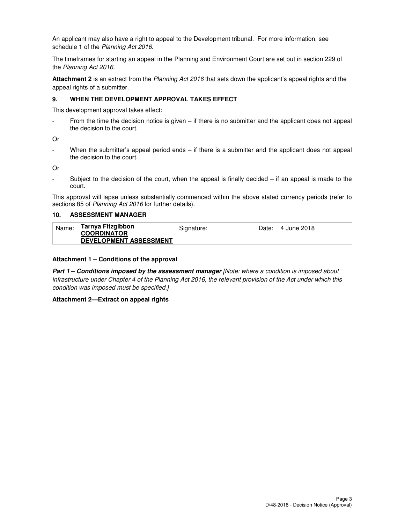An applicant may also have a right to appeal to the Development tribunal. For more information, see schedule 1 of the Planning Act 2016.

The timeframes for starting an appeal in the Planning and Environment Court are set out in section 229 of the Planning Act 2016.

**Attachment 2** is an extract from the Planning Act 2016 that sets down the applicant's appeal rights and the appeal rights of a submitter.

#### **9. WHEN THE DEVELOPMENT APPROVAL TAKES EFFECT**

This development approval takes effect:

From the time the decision notice is given  $-$  if there is no submitter and the applicant does not appeal the decision to the court.

Or

When the submitter's appeal period ends – if there is a submitter and the applicant does not appeal the decision to the court.

Or

Subject to the decision of the court, when the appeal is finally decided  $-$  if an appeal is made to the court.

This approval will lapse unless substantially commenced within the above stated currency periods (refer to sections 85 of Planning Act 2016 for further details).

#### **10. ASSESSMENT MANAGER**

| Name: | Tarnya Fitzgibbon<br><b>COORDINATOR</b><br><b>DEVELOPMENT ASSESSMENT</b> | Signature: | Date: 4 June 2018 |
|-------|--------------------------------------------------------------------------|------------|-------------------|
|       |                                                                          |            |                   |

#### **Attachment 1 – Conditions of the approval**

**Part 1 – Conditions imposed by the assessment manager** [Note: where a condition is imposed about infrastructure under Chapter 4 of the Planning Act 2016, the relevant provision of the Act under which this condition was imposed must be specified.]

#### **Attachment 2—Extract on appeal rights**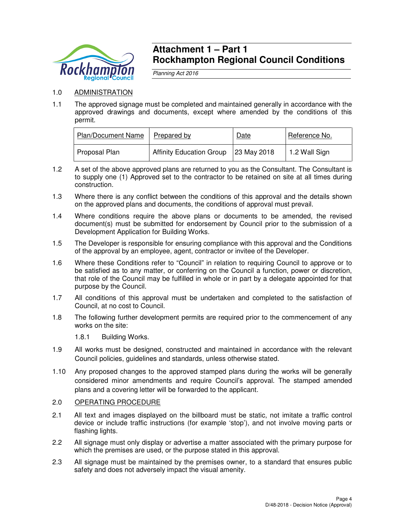

## **Attachment 1 – Part 1 Rockhampton Regional Council Conditions**

Planning Act 2016

## 1.0 ADMINISTRATION

1.1 The approved signage must be completed and maintained generally in accordance with the approved drawings and documents, except where amended by the conditions of this permit.

| <b>Plan/Document Name</b> | Prepared by                     | Date        | Reference No.         |
|---------------------------|---------------------------------|-------------|-----------------------|
| Proposal Plan             | <b>Affinity Education Group</b> | 23 May 2018 | $\vert$ 1.2 Wall Sign |

- 1.2 A set of the above approved plans are returned to you as the Consultant. The Consultant is to supply one (1) Approved set to the contractor to be retained on site at all times during construction.
- 1.3 Where there is any conflict between the conditions of this approval and the details shown on the approved plans and documents, the conditions of approval must prevail.
- 1.4 Where conditions require the above plans or documents to be amended, the revised document(s) must be submitted for endorsement by Council prior to the submission of a Development Application for Building Works.
- 1.5 The Developer is responsible for ensuring compliance with this approval and the Conditions of the approval by an employee, agent, contractor or invitee of the Developer.
- 1.6 Where these Conditions refer to "Council" in relation to requiring Council to approve or to be satisfied as to any matter, or conferring on the Council a function, power or discretion, that role of the Council may be fulfilled in whole or in part by a delegate appointed for that purpose by the Council.
- 1.7 All conditions of this approval must be undertaken and completed to the satisfaction of Council, at no cost to Council.
- 1.8 The following further development permits are required prior to the commencement of any works on the site:
	- 1.8.1 Building Works.
- 1.9 All works must be designed, constructed and maintained in accordance with the relevant Council policies, guidelines and standards, unless otherwise stated.
- 1.10 Any proposed changes to the approved stamped plans during the works will be generally considered minor amendments and require Council's approval. The stamped amended plans and a covering letter will be forwarded to the applicant.

## 2.0 OPERATING PROCEDURE

- 2.1 All text and images displayed on the billboard must be static, not imitate a traffic control device or include traffic instructions (for example 'stop'), and not involve moving parts or flashing lights.
- 2.2 All signage must only display or advertise a matter associated with the primary purpose for which the premises are used, or the purpose stated in this approval.
- 2.3 All signage must be maintained by the premises owner, to a standard that ensures public safety and does not adversely impact the visual amenity.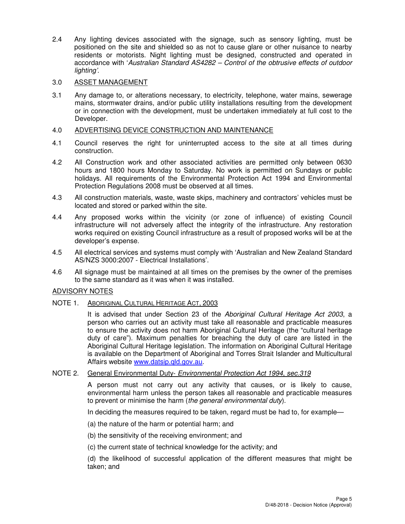2.4 Any lighting devices associated with the signage, such as sensory lighting, must be positioned on the site and shielded so as not to cause glare or other nuisance to nearby residents or motorists. Night lighting must be designed, constructed and operated in accordance with 'Australian Standard AS4282 – Control of the obtrusive effects of outdoor lighting'.

## 3.0 ASSET MANAGEMENT

3.1 Any damage to, or alterations necessary, to electricity, telephone, water mains, sewerage mains, stormwater drains, and/or public utility installations resulting from the development or in connection with the development, must be undertaken immediately at full cost to the Developer.

### 4.0 ADVERTISING DEVICE CONSTRUCTION AND MAINTENANCE

- 4.1 Council reserves the right for uninterrupted access to the site at all times during construction.
- 4.2 All Construction work and other associated activities are permitted only between 0630 hours and 1800 hours Monday to Saturday. No work is permitted on Sundays or public holidays. All requirements of the Environmental Protection Act 1994 and Environmental Protection Regulations 2008 must be observed at all times.
- 4.3 All construction materials, waste, waste skips, machinery and contractors' vehicles must be located and stored or parked within the site.
- 4.4 Any proposed works within the vicinity (or zone of influence) of existing Council infrastructure will not adversely affect the integrity of the infrastructure. Any restoration works required on existing Council infrastructure as a result of proposed works will be at the developer's expense.
- 4.5 All electrical services and systems must comply with 'Australian and New Zealand Standard AS/NZS 3000:2007 - Electrical Installations'.
- 4.6 All signage must be maintained at all times on the premises by the owner of the premises to the same standard as it was when it was installed.

## ADVISORY NOTES

## NOTE 1. ABORIGINAL CULTURAL HERITAGE ACT, 2003

It is advised that under Section 23 of the Aboriginal Cultural Heritage Act 2003, a person who carries out an activity must take all reasonable and practicable measures to ensure the activity does not harm Aboriginal Cultural Heritage (the "cultural heritage duty of care"). Maximum penalties for breaching the duty of care are listed in the Aboriginal Cultural Heritage legislation. The information on Aboriginal Cultural Heritage is available on the Department of Aboriginal and Torres Strait Islander and Multicultural Affairs website www.datsip.qld.gov.au.

## NOTE 2. General Environmental Duty- Environmental Protection Act 1994, sec.319

A person must not carry out any activity that causes, or is likely to cause, environmental harm unless the person takes all reasonable and practicable measures to prevent or minimise the harm (the general environmental duty).

In deciding the measures required to be taken, regard must be had to, for example—

- (a) the nature of the harm or potential harm; and
- (b) the sensitivity of the receiving environment; and
- (c) the current state of technical knowledge for the activity; and

(d) the likelihood of successful application of the different measures that might be taken; and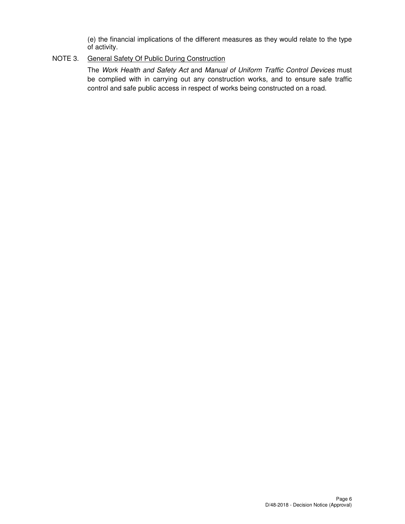(e) the financial implications of the different measures as they would relate to the type of activity.

## NOTE 3. General Safety Of Public During Construction

The Work Health and Safety Act and Manual of Uniform Traffic Control Devices must be complied with in carrying out any construction works, and to ensure safe traffic control and safe public access in respect of works being constructed on a road.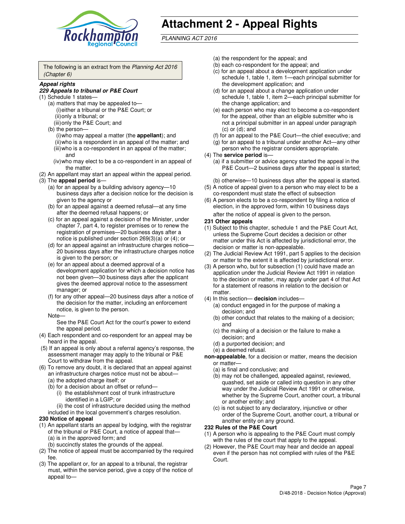

# **Attachment 2 - Appeal Rights**

PLANNING ACT 2016

The following is an extract from the Planning Act 2016 (Chapter 6)

#### **Appeal rights**

#### **229 Appeals to tribunal or P&E Court**

- (1) Schedule 1 states—
	- (a) matters that may be appealed to— (i) either a tribunal or the P&E Court; or (ii) only a tribunal; or (iii) only the P&E Court; and
	- (b) the person—
		- (i) who may appeal a matter (the **appellant**); and
		- (ii) who is a respondent in an appeal of the matter; and (iii) who is a co-respondent in an appeal of the matter; and
		- (iv) who may elect to be a co-respondent in an appeal of the matter.
- (2) An appellant may start an appeal within the appeal period.
- (3) The **appeal period** is—
	- (a) for an appeal by a building advisory agency—10 business days after a decision notice for the decision is given to the agency or
	- (b) for an appeal against a deemed refusal—at any time after the deemed refusal happens; or
	- (c) for an appeal against a decision of the Minister, under chapter 7, part 4, to register premises or to renew the registration of premises—20 business days after a notice is published under section 269(3)(a) or (4); or
	- (d) for an appeal against an infrastructure charges notice— 20 business days after the infrastructure charges notice is given to the person; or
	- (e) for an appeal about a deemed approval of a development application for which a decision notice has not been given—30 business days after the applicant gives the deemed approval notice to the assessment manager; or
	- (f) for any other appeal—20 business days after a notice of the decision for the matter, including an enforcement notice, is given to the person.
	- Note—

See the P&E Court Act for the court's power to extend the appeal period.

- (4) Each respondent and co-respondent for an appeal may be heard in the appeal.
- (5) If an appeal is only about a referral agency's response, the assessment manager may apply to the tribunal or P&E Court to withdraw from the appeal.
- (6) To remove any doubt, it is declared that an appeal against an infrastructure charges notice must not be about—
	- (a) the adopted charge itself; or
	- (b) for a decision about an offset or refund—
		- (i) the establishment cost of trunk infrastructure identified in a LGIP; or
		- (ii) the cost of infrastructure decided using the method
- included in the local government's charges resolution. **230 Notice of appeal**
- (1) An appellant starts an appeal by lodging, with the registrar of the tribunal or P&E Court, a notice of appeal that—
	- (a) is in the approved form; and
	- (b) succinctly states the grounds of the appeal.
- (2) The notice of appeal must be accompanied by the required fee.
- (3) The appellant or, for an appeal to a tribunal, the registrar must, within the service period, give a copy of the notice of appeal to—
- (a) the respondent for the appeal; and
- (b) each co-respondent for the appeal; and
- (c) for an appeal about a development application under schedule 1, table 1, item 1—each principal submitter for the development application; and
- (d) for an appeal about a change application under schedule 1, table 1, item 2—each principal submitter for the change application; and
- (e) each person who may elect to become a co-respondent for the appeal, other than an eligible submitter who is not a principal submitter in an appeal under paragraph  $(c)$  or  $(d)$ ; and
- (f) for an appeal to the P&E Court—the chief executive; and
- (g) for an appeal to a tribunal under another Act—any other person who the registrar considers appropriate.
- (4) The **service period** is—
	- (a) if a submitter or advice agency started the appeal in the P&E Court—2 business days after the appeal is started; or
	- (b) otherwise—10 business days after the appeal is started.
- (5) A notice of appeal given to a person who may elect to be a co-respondent must state the effect of subsection
- (6) A person elects to be a co-respondent by filing a notice of election, in the approved form, within 10 business days after the notice of appeal is given to the person*.*
- **231 Other appeals**
- (1) Subject to this chapter, schedule 1 and the P&E Court Act, unless the Supreme Court decides a decision or other matter under this Act is affected by jurisdictional error, the decision or matter is non-appealable.
- (2) The Judicial Review Act 1991, part 5 applies to the decision or matter to the extent it is affected by jurisdictional error.
- (3) A person who, but for subsection (1) could have made an application under the Judicial Review Act 1991 in relation to the decision or matter, may apply under part 4 of that Act for a statement of reasons in relation to the decision or matter.
- (4) In this section— **decision** includes—
	- (a) conduct engaged in for the purpose of making a decision; and
	- (b) other conduct that relates to the making of a decision; and
	- (c) the making of a decision or the failure to make a decision; and
	- (d) a purported decision; and
	- (e) a deemed refusal.

**non-appealable**, for a decision or matter, means the decision or matter—

- (a) is final and conclusive; and
- (b) may not be challenged, appealed against, reviewed, quashed, set aside or called into question in any other way under the Judicial Review Act 1991 or otherwise, whether by the Supreme Court, another court, a tribunal or another entity; and
- (c) is not subject to any declaratory, injunctive or other order of the Supreme Court, another court, a tribunal or another entity on any ground.

#### **232 Rules of the P&E Court**

- (1) A person who is appealing to the P&E Court must comply with the rules of the court that apply to the appeal.
- (2) However, the P&E Court may hear and decide an appeal even if the person has not complied with rules of the P&E Court.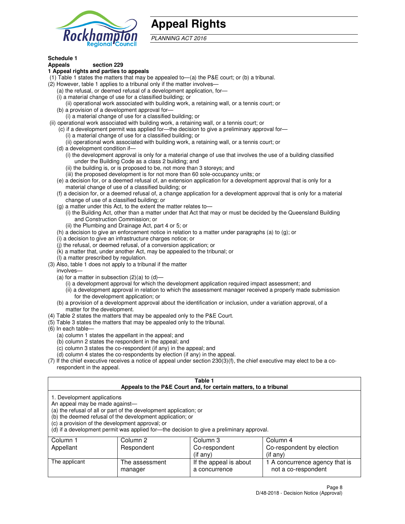

## **Appeal Rights**

PLANNING ACT 2016

## **Schedule 1**

## **Appeals section 229**

#### **1 Appeal rights and parties to appeals**

- (1) Table 1 states the matters that may be appealed to—(a) the P&E court; or (b) a tribunal.
- (2) However, table 1 applies to a tribunal only if the matter involves—
	- (a) the refusal, or deemed refusal of a development application, for—
	- (i) a material change of use for a classified building; or
	- (ii) operational work associated with building work, a retaining wall, or a tennis court; or
	- (b) a provision of a development approval for—
	- (i) a material change of use for a classified building; or
- (ii) operational work associated with building work, a retaining wall, or a tennis court; or
	- (c) if a development permit was applied for—the decision to give a preliminary approval for—
		- (i) a material change of use for a classified building; or
		- (ii) operational work associated with building work, a retaining wall, or a tennis court; or
	- (d) a development condition if—
		- (i) the development approval is only for a material change of use that involves the use of a building classified under the Building Code as a class 2 building; and
		- (ii) the building is, or is proposed to be, not more than 3 storeys; and
		- (iii) the proposed development is for not more than 60 sole-occupancy units; or
	- (e) a decision for, or a deemed refusal of, an extension application for a development approval that is only for a material change of use of a classified building; or
	- (f) a decision for, or a deemed refusal of, a change application for a development approval that is only for a material change of use of a classified building; or
	- (g) a matter under this Act, to the extent the matter relates to—
		- (i) the Building Act, other than a matter under that Act that may or must be decided by the Queensland Building and Construction Commission; or
		- (ii) the Plumbing and Drainage Act, part 4 or 5; or
	- (h) a decision to give an enforcement notice in relation to a matter under paragraphs (a) to (g); or
	- (i) a decision to give an infrastructure charges notice; or
	- (j) the refusal, or deemed refusal, of a conversion application; or
	- (k) a matter that, under another Act, may be appealed to the tribunal; or
	- (l) a matter prescribed by regulation.
- (3) Also, table 1 does not apply to a tribunal if the matter
	- involves—
	- (a) for a matter in subsection  $(2)(a)$  to  $(d)$ 
		- (i) a development approval for which the development application required impact assessment; and
		- (ii) a development approval in relation to which the assessment manager received a properly made submission for the development application; or
	- (b) a provision of a development approval about the identification or inclusion, under a variation approval, of a matter for the development.
- (4) Table 2 states the matters that may be appealed only to the P&E Court.
- (5) Table 3 states the matters that may be appealed only to the tribunal.
- (6) In each table—
	- (a) column 1 states the appellant in the appeal; and
	- (b) column 2 states the respondent in the appeal; and
	- (c) column 3 states the co-respondent (if any) in the appeal; and
	- (d) column 4 states the co-respondents by election (if any) in the appeal.
- $(7)$  If the chief executive receives a notice of appeal under section  $230(3)(f)$ , the chief executive may elect to be a corespondent in the appeal.

| Table 1<br>Appeals to the P&E Court and, for certain matters, to a tribunal                                      |                                                                                                                                |                                                                                          |                                                       |  |  |
|------------------------------------------------------------------------------------------------------------------|--------------------------------------------------------------------------------------------------------------------------------|------------------------------------------------------------------------------------------|-------------------------------------------------------|--|--|
| 1. Development applications<br>An appeal may be made against-<br>(c) a provision of the development approval; or | (a) the refusal of all or part of the development application; or<br>(b) the deemed refusal of the development application; or | (d) if a development permit was applied for—the decision to give a preliminary approval. |                                                       |  |  |
| Column 1                                                                                                         | Column 4<br>Column 2<br>Column 3                                                                                               |                                                                                          |                                                       |  |  |
| Appellant                                                                                                        | Respondent                                                                                                                     | Co-respondent                                                                            | Co-respondent by election                             |  |  |
| (if any)<br>$($ if any $)$                                                                                       |                                                                                                                                |                                                                                          |                                                       |  |  |
| The applicant                                                                                                    | The assessment<br>manager                                                                                                      | If the appeal is about<br>a concurrence                                                  | 1 A concurrence agency that is<br>not a co-respondent |  |  |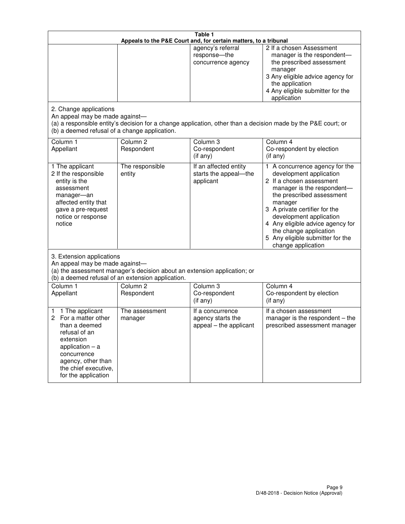| Table 1<br>Appeals to the P&E Court and, for certain matters, to a tribunal                                                                                                                             |                                                                                                                                                                                              |                                                                 |                                                                                                                                                                                                                                                                                                                                                 |  |  |
|---------------------------------------------------------------------------------------------------------------------------------------------------------------------------------------------------------|----------------------------------------------------------------------------------------------------------------------------------------------------------------------------------------------|-----------------------------------------------------------------|-------------------------------------------------------------------------------------------------------------------------------------------------------------------------------------------------------------------------------------------------------------------------------------------------------------------------------------------------|--|--|
|                                                                                                                                                                                                         |                                                                                                                                                                                              | agency's referral<br>response-the<br>concurrence agency         | 2 If a chosen Assessment<br>manager is the respondent-<br>the prescribed assessment<br>manager<br>3 Any eligible advice agency for<br>the application<br>4 Any eligible submitter for the<br>application                                                                                                                                        |  |  |
| 2. Change applications<br>An appeal may be made against-<br>(b) a deemed refusal of a change application.                                                                                               |                                                                                                                                                                                              |                                                                 | (a) a responsible entity's decision for a change application, other than a decision made by the P&E court; or                                                                                                                                                                                                                                   |  |  |
| Column 1<br>Appellant                                                                                                                                                                                   | Column <sub>2</sub><br>Respondent                                                                                                                                                            | Column 3<br>Co-respondent<br>(if any)                           | Column 4<br>Co-respondent by election<br>(if any)                                                                                                                                                                                                                                                                                               |  |  |
| 1 The applicant<br>2 If the responsible<br>entity is the<br>assessment<br>manager-an<br>affected entity that<br>gave a pre-request<br>notice or response<br>notice                                      | The responsible<br>entity                                                                                                                                                                    | If an affected entity<br>starts the appeal-the<br>applicant     | 1 A concurrence agency for the<br>development application<br>2 If a chosen assessment<br>manager is the respondent-<br>the prescribed assessment<br>manager<br>3 A private certifier for the<br>development application<br>4 Any eligible advice agency for<br>the change application<br>5 Any eligible submitter for the<br>change application |  |  |
|                                                                                                                                                                                                         | 3. Extension applications<br>An appeal may be made against-<br>(a) the assessment manager's decision about an extension application; or<br>(b) a deemed refusal of an extension application. |                                                                 |                                                                                                                                                                                                                                                                                                                                                 |  |  |
| Column 1<br>Appellant                                                                                                                                                                                   | Column <sub>2</sub><br>Respondent                                                                                                                                                            | Column 3<br>Co-respondent<br>(if any)                           | Column 4<br>Co-respondent by election<br>(if any)                                                                                                                                                                                                                                                                                               |  |  |
| 1 The applicant<br>1<br>For a matter other<br>2<br>than a deemed<br>refusal of an<br>extension<br>application $-$ a<br>concurrence<br>agency, other than<br>the chief executive,<br>for the application | The assessment<br>manager                                                                                                                                                                    | If a concurrence<br>agency starts the<br>appeal - the applicant | If a chosen assessment<br>manager is the respondent $-$ the<br>prescribed assessment manager                                                                                                                                                                                                                                                    |  |  |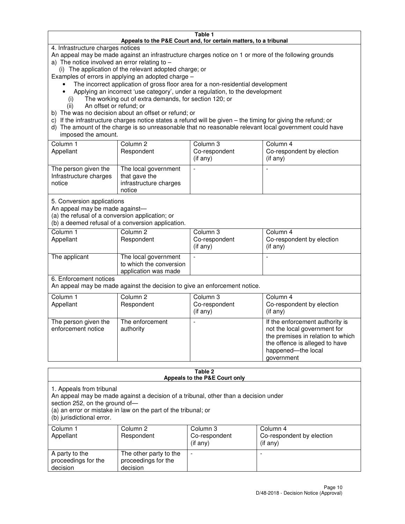#### **Table 1 Appeals to the P&E Court and, for certain matters, to a tribunal**

4. Infrastructure charges notices

An appeal may be made against an infrastructure charges notice on 1 or more of the following grounds

- a) The notice involved an error relating to
	- (i) The application of the relevant adopted charge; or

Examples of errors in applying an adopted charge –

- The incorrect application of gross floor area for a non-residential development
- Applying an incorrect 'use category', under a regulation, to the development
	- (i) The working out of extra demands, for section 120; or
	- (ii) An offset or refund; or
- b) The was no decision about an offset or refund; or
- c) If the infrastructure charges notice states a refund will be given the timing for giving the refund; or
- d) The amount of the charge is so unreasonable that no reasonable relevant local government could have imposed the amount.

| Column 1<br>Appellant                                    | Column 2<br>Respondent                                                    | Column 3<br>Co-respondent<br>$($ if any $)$ | Column 4<br>Co-respondent by election<br>$($ if any $)$ |
|----------------------------------------------------------|---------------------------------------------------------------------------|---------------------------------------------|---------------------------------------------------------|
| The person given the<br>Infrastructure charges<br>notice | The local government<br>that gave the<br>infrastructure charges<br>notice |                                             |                                                         |

5. Conversion applications

An appeal may be made against—

(a) the refusal of a conversion application; or

(b) a deemed refusal of a conversion application.

| Column 1<br>Appellant | Column 2<br>Respondent                                                  | Column 3<br>Co-respondent<br>$($ if any $)$ | Column 4<br>Co-respondent by election<br>$($ if any $)$ |
|-----------------------|-------------------------------------------------------------------------|---------------------------------------------|---------------------------------------------------------|
| The applicant         | The local government<br>to which the conversion<br>application was made |                                             |                                                         |

6. Enforcement notices

An appeal may be made against the decision to give an enforcement notice.

| Column 1<br>Appellant                      | Column 2<br>Respondent       | Column 3<br>Co-respondent<br>$($ if any $)$ | Column 4<br>Co-respondent by election<br>(if any)                                                                                                                          |
|--------------------------------------------|------------------------------|---------------------------------------------|----------------------------------------------------------------------------------------------------------------------------------------------------------------------------|
| The person given the<br>enforcement notice | The enforcement<br>authority |                                             | If the enforcement authority is<br>not the local government for<br>the premises in relation to which<br>the offence is alleged to have<br>happened-the local<br>government |

#### **Table 2 Appeals to the P&E Court only**

1. Appeals from tribunal

An appeal may be made against a decision of a tribunal, other than a decision under

section 252, on the ground of—

(a) an error or mistake in law on the part of the tribunal; or

(b) jurisdictional error.

| Column 1<br>Appellant                             | Column 2<br>Respondent                                    | Column 3<br>Co-respondent<br>(if any) | Column 4<br>Co-respondent by election<br>(if any) |
|---------------------------------------------------|-----------------------------------------------------------|---------------------------------------|---------------------------------------------------|
| A party to the<br>proceedings for the<br>decision | The other party to the<br>proceedings for the<br>decision | $\overline{\phantom{a}}$              |                                                   |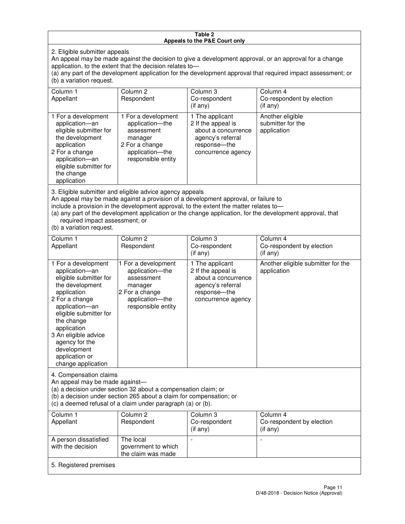#### **Table 2 Appeals to the P&E Court only**

2. Eligible submitter appeals

An appeal may be made against the decision to give a development approval, or an approval for a change application, to the extent that the decision relates to—

(a) any part of the development application for the development approval that required impact assessment; or (b) a variation request.

| Column 1<br>Appellant                                                                                                                                                                                                                                                                                                                                                                                              | Column <sub>2</sub><br>Respondent                                                                                          | Column 3<br>Co-respondent<br>(i f any)                                                                                    | Column 4<br>Co-respondent by election<br>(i f any)   |
|--------------------------------------------------------------------------------------------------------------------------------------------------------------------------------------------------------------------------------------------------------------------------------------------------------------------------------------------------------------------------------------------------------------------|----------------------------------------------------------------------------------------------------------------------------|---------------------------------------------------------------------------------------------------------------------------|------------------------------------------------------|
| 1 For a development<br>application-an<br>eligible submitter for<br>the development<br>application<br>2 For a change<br>application-an<br>eligible submitter for<br>the change<br>application                                                                                                                                                                                                                       | 1 For a development<br>application-the<br>assessment<br>manager<br>2 For a change<br>application-the<br>responsible entity | 1 The applicant<br>2 If the appeal is<br>about a concurrence<br>agency's referral<br>response---the<br>concurrence agency | Another eligible<br>submitter for the<br>application |
| 3. Eligible submitter and eligible advice agency appeals<br>An appeal may be made against a provision of a development approval, or failure to<br>include a provision in the development approval, to the extent the matter relates to-<br>(a) any part of the development application or the change application, for the development approval, that<br>required impact assessment; or<br>(b) a variation request. |                                                                                                                            |                                                                                                                           |                                                      |
| Column 1<br>Appellant                                                                                                                                                                                                                                                                                                                                                                                              | Column <sub>2</sub><br>Respondent                                                                                          | Column 3<br>Co-respondent<br>$(if$ any)                                                                                   | Column 4<br>Co-respondent by election<br>(i f any)   |
| 1 For a development<br>application-an<br>eligible submitter for<br>the development                                                                                                                                                                                                                                                                                                                                 | 1 For a development<br>application-the<br>assessment<br>manager                                                            | 1 The applicant<br>2 If the appeal is<br>about a concurrence<br>agency's referral                                         | Another eligible submitter for the<br>application    |

response—the concurrence agency

change application 4. Compensation claims

application 2 For a change application—an eligible submitter for

the change application 3 An eligible advice agency for the development application or

An appeal may be made against—

(a) a decision under section 32 about a compensation claim; or

2 For a change application—the responsible entity

(b) a decision under section 265 about a claim for compensation; or

(c) a deemed refusal of a claim under paragraph (a) or (b).

| Column 1<br>Appellant                      | Column 2<br>Respondent                                 | Column 3<br>Co-respondent<br>(if any) | Column 4<br>Co-respondent by election<br>(if any) |
|--------------------------------------------|--------------------------------------------------------|---------------------------------------|---------------------------------------------------|
| A person dissatisfied<br>with the decision | The local<br>government to which<br>the claim was made |                                       |                                                   |
| 5. Registered premises                     |                                                        |                                       |                                                   |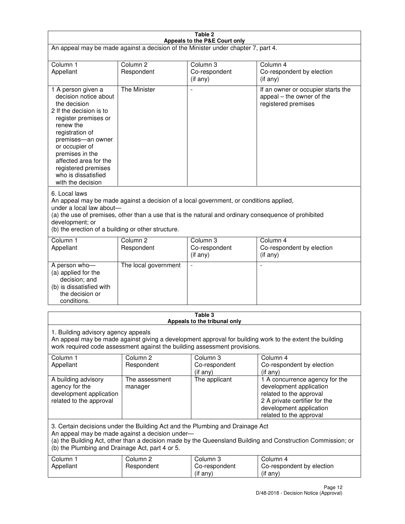| Table 2                                                                                                                                                                                                                                                                                                              |                                   |                                         |                                                                                                                                                                             |  |
|----------------------------------------------------------------------------------------------------------------------------------------------------------------------------------------------------------------------------------------------------------------------------------------------------------------------|-----------------------------------|-----------------------------------------|-----------------------------------------------------------------------------------------------------------------------------------------------------------------------------|--|
| Appeals to the P&E Court only<br>An appeal may be made against a decision of the Minister under chapter 7, part 4.                                                                                                                                                                                                   |                                   |                                         |                                                                                                                                                                             |  |
| Column 1                                                                                                                                                                                                                                                                                                             | Column <sub>2</sub>               | Column <sub>3</sub>                     | Column 4                                                                                                                                                                    |  |
| Appellant                                                                                                                                                                                                                                                                                                            | Respondent                        | Co-respondent<br>(if any)               | Co-respondent by election<br>(if any)                                                                                                                                       |  |
| 1 A person given a<br>decision notice about<br>the decision<br>2 If the decision is to<br>register premises or<br>renew the<br>registration of<br>premises-an owner<br>or occupier of<br>premises in the<br>affected area for the<br>registered premises<br>who is dissatisfied<br>with the decision                 | <b>The Minister</b>               | ÷,                                      | If an owner or occupier starts the<br>appeal – the owner of the<br>registered premises                                                                                      |  |
| 6. Local laws<br>An appeal may be made against a decision of a local government, or conditions applied,<br>under a local law about-<br>(a) the use of premises, other than a use that is the natural and ordinary consequence of prohibited<br>development; or<br>(b) the erection of a building or other structure. |                                   |                                         |                                                                                                                                                                             |  |
| Column 1<br>Appellant                                                                                                                                                                                                                                                                                                | Column <sub>2</sub><br>Respondent | Column 3<br>Co-respondent<br>(if any)   | Column 4<br>Co-respondent by election<br>(if any)                                                                                                                           |  |
| A person who-<br>(a) applied for the<br>decision; and<br>(b) is dissatisfied with<br>the decision or<br>conditions.                                                                                                                                                                                                  | The local government              |                                         |                                                                                                                                                                             |  |
|                                                                                                                                                                                                                                                                                                                      |                                   | Table 3<br>Appeals to the tribunal only |                                                                                                                                                                             |  |
| 1. Building advisory agency appeals<br>An appeal may be made against giving a development approval for building work to the extent the building<br>work required code assessment against the building assessment provisions.                                                                                         |                                   |                                         |                                                                                                                                                                             |  |
| Column 1<br>Appellant                                                                                                                                                                                                                                                                                                | Column <sub>2</sub><br>Respondent | Column 3<br>Co-respondent<br>(if any)   | Column 4<br>Co-respondent by election<br>(if any)                                                                                                                           |  |
| A building advisory<br>agency for the<br>development application<br>related to the approval                                                                                                                                                                                                                          | The assessment<br>manager         | The applicant                           | 1 A concurrence agency for the<br>development application<br>related to the approval<br>2 A private certifier for the<br>development application<br>related to the approval |  |
| 3. Certain decisions under the Building Act and the Plumbing and Drainage Act<br>An appeal may be made against a decision under-<br>(a) the Building Act, other than a decision made by the Queensland Building and Construction Commission; or<br>(b) the Plumbing and Drainage Act, part 4 or 5.                   |                                   |                                         |                                                                                                                                                                             |  |
| Column 1<br>Appellant                                                                                                                                                                                                                                                                                                | Column <sub>2</sub><br>Respondent | Column 3<br>Co-respondent<br>(if any)   | Column 4<br>Co-respondent by election<br>(if any)                                                                                                                           |  |